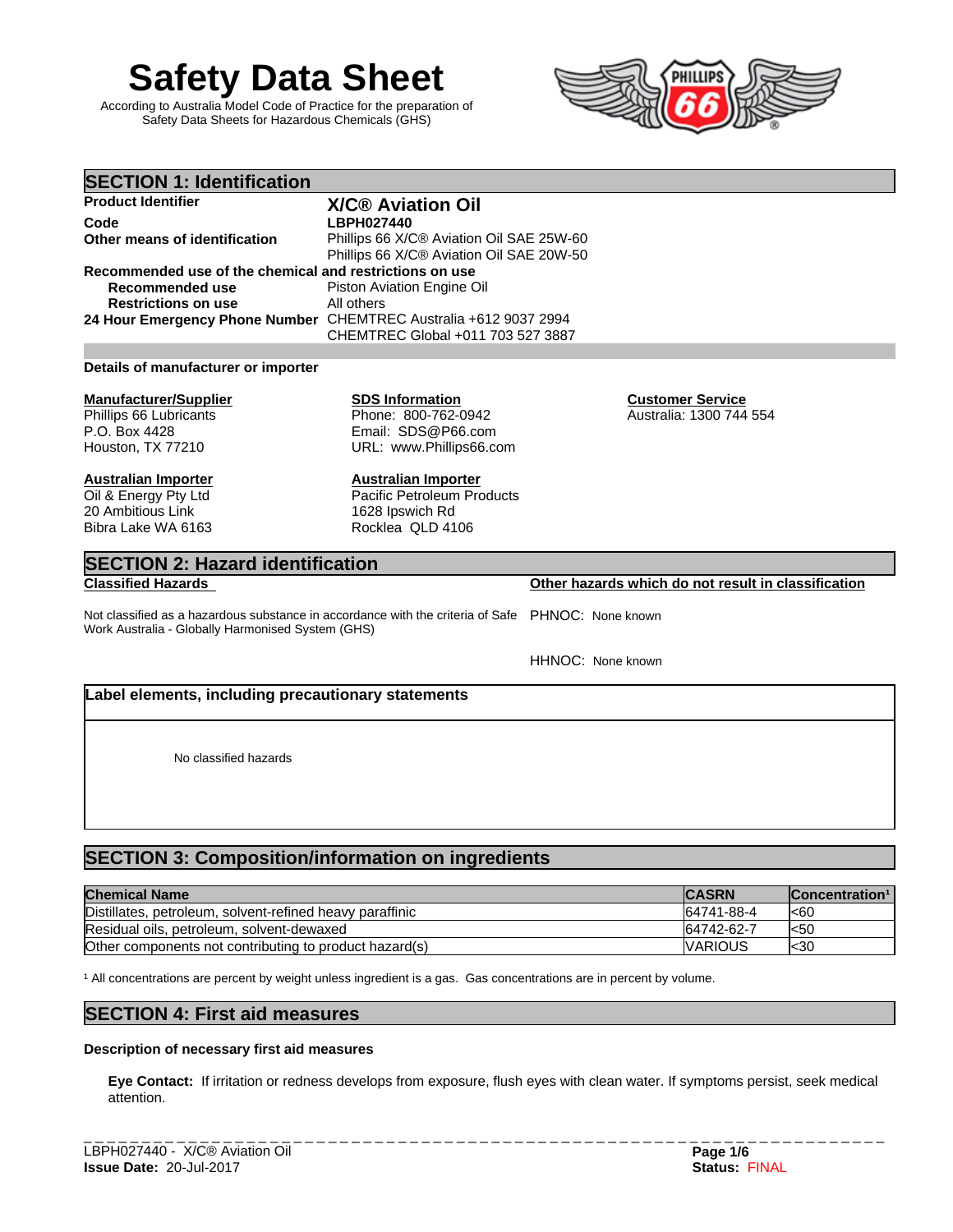# **Safety Data Sheet**

According to Australia Model Code of Practice for the preparation of Safety Data Sheets for Hazardous Chemicals (GHS)



| <b>SECTION 1: Identification</b>                        |                                                                  |                         |  |  |  |
|---------------------------------------------------------|------------------------------------------------------------------|-------------------------|--|--|--|
| <b>Product Identifier</b>                               | <b>X/C® Aviation Oil</b>                                         |                         |  |  |  |
| Code                                                    | <b>LBPH027440</b>                                                |                         |  |  |  |
| Other means of identification                           | Phillips 66 X/C® Aviation Oil SAE 25W-60                         |                         |  |  |  |
|                                                         | Phillips 66 X/C® Aviation Oil SAE 20W-50                         |                         |  |  |  |
| Recommended use of the chemical and restrictions on use |                                                                  |                         |  |  |  |
| Recommended use                                         | Piston Aviation Engine Oil                                       |                         |  |  |  |
| <b>Restrictions on use</b>                              | All others                                                       |                         |  |  |  |
|                                                         | 24 Hour Emergency Phone Number CHEMTREC Australia +612 9037 2994 |                         |  |  |  |
|                                                         | CHEMTREC Global +011 703 527 3887                                |                         |  |  |  |
|                                                         |                                                                  |                         |  |  |  |
| Details of manufacturer or importer                     |                                                                  |                         |  |  |  |
| <b>Manufacturer/Supplier</b>                            | <b>SDS Information</b>                                           | <b>Customer Service</b> |  |  |  |
| Phillips 66 Lubricants                                  | Phone: 800-762-0942                                              | Australia: 1300 744 554 |  |  |  |
| P.O. Box 4428                                           | Email: SDS@P66.com                                               |                         |  |  |  |
| Houston, TX 77210                                       | URL: www.Phillips66.com                                          |                         |  |  |  |
|                                                         |                                                                  |                         |  |  |  |
| <b>Australian Importer</b>                              | <b>Australian Importer</b>                                       |                         |  |  |  |
| Oil & Energy Pty Ltd                                    | <b>Pacific Petroleum Products</b>                                |                         |  |  |  |
| 20 Ambitious Link                                       | 1628 Ipswich Rd                                                  |                         |  |  |  |
| Bibra Lake WA 6163                                      | Rocklea QLD 4106                                                 |                         |  |  |  |

# **SECTION 2: Hazard identification**

Not classified as a hazardous substance in accordance with the criteria of Safe PHNOC: None known Work Australia - Globally Harmonised System (GHS)

HHNOC: None known

# **Label elements, including precautionary statements**

No classified hazards

# **SECTION 3: Composition/information on ingredients**

| <b>Chemical Name</b>                                     | <b>CASRN</b>    | Concentration <sup>1</sup> |
|----------------------------------------------------------|-----------------|----------------------------|
| Distillates, petroleum, solvent-refined heavy paraffinic | 64741-88-4      | l<60                       |
| Residual oils, petroleum, solvent-dewaxed                | 64742-62-7      | l<50                       |
| Other components not contributing to product hazard(s)   | <b>IVARIOUS</b> | l<30                       |

<sup>1</sup> All concentrations are percent by weight unless ingredient is a gas. Gas concentrations are in percent by volume.

# **SECTION 4: First aid measures**

#### **Description of necessary first aid measures**

**Eye Contact:**If irritation or redness develops from exposure, flush eyes with clean water. If symptoms persist, seek medical attention.

**Classified Hazards Other hazards which do not result in classification**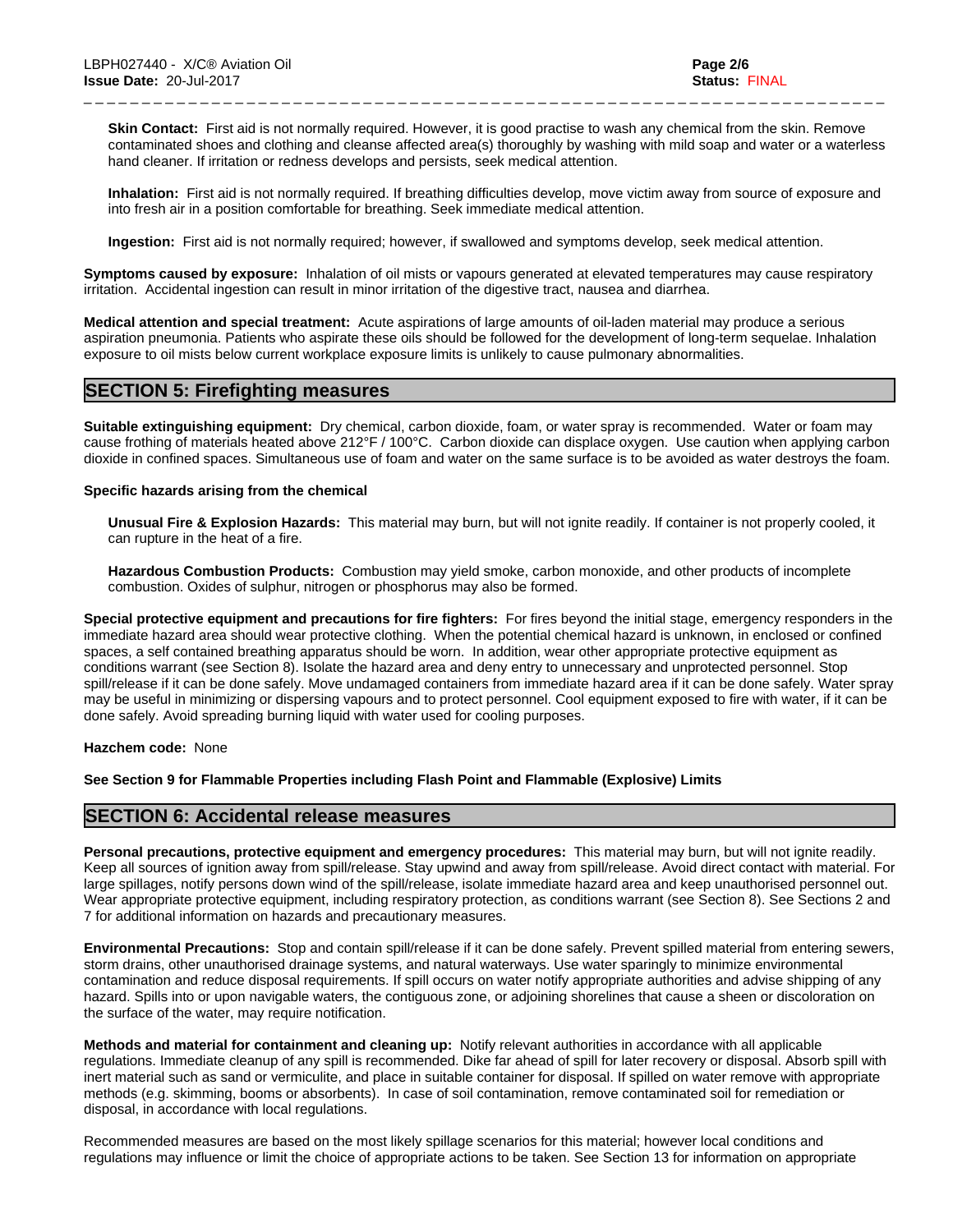**Skin Contact:** First aid is not normally required. However, it is good practise to wash any chemical from the skin. Remove contaminated shoes and clothing and cleanse affected area(s) thoroughly by washing with mild soap and water or a waterless hand cleaner. If irritation or redness develops and persists, seek medical attention.

\_ \_ \_ \_ \_ \_ \_ \_ \_ \_ \_ \_ \_ \_ \_ \_ \_ \_ \_ \_ \_ \_ \_ \_ \_ \_ \_ \_ \_ \_ \_ \_ \_ \_ \_ \_ \_ \_ \_ \_ \_ \_ \_ \_ \_ \_ \_ \_ \_ \_ \_ \_ \_ \_ \_ \_ \_ \_ \_ \_ \_ \_ \_ \_ \_ \_ \_ \_ \_

**Inhalation:** First aid is not normally required. If breathing difficulties develop, move victim away from source of exposure and into fresh air in a position comfortable for breathing. Seek immediate medical attention.

**Ingestion:** First aid is not normally required; however, if swallowed and symptoms develop, seek medical attention.

**Symptoms caused by exposure:** Inhalation of oil mists or vapours generated at elevated temperatures may cause respiratory irritation. Accidental ingestion can result in minor irritation of the digestive tract, nausea and diarrhea.

**Medical attention and special treatment:** Acute aspirations of large amounts of oil-laden material may produce a serious aspiration pneumonia. Patients who aspirate these oils should be followed for the development of long-term sequelae. Inhalation exposure to oil mists below current workplace exposure limits is unlikely to cause pulmonary abnormalities.

# **SECTION 5: Firefighting measures**

**Suitable extinguishing equipment:** Dry chemical, carbon dioxide, foam, or water spray is recommended. Water or foam may cause frothing of materials heated above 212°F / 100°C. Carbon dioxide can displace oxygen. Use caution when applying carbon dioxide in confined spaces. Simultaneous use of foam and water on the same surface is to be avoided as water destroys the foam.

#### **Specific hazards arising from the chemical**

**Unusual Fire & Explosion Hazards:** This material may burn, butwill not ignite readily. If container is not properly cooled, it can rupture in the heat of a fire.

**Hazardous Combustion Products:** Combustion may yield smoke, carbon monoxide, and other products of incomplete combustion. Oxides of sulphur, nitrogen or phosphorus may also be formed.

**Special protective equipment and precautions for fire fighters:**For fires beyond the initial stage, emergency responders in the immediate hazard area should wear protective clothing. When the potential chemical hazard is unknown, in enclosed or confined spaces, a self contained breathing apparatus should be worn. In addition, wear other appropriate protective equipment as conditions warrant (see Section 8). Isolate the hazard area and deny entry to unnecessary and unprotected personnel. Stop spill/release if it can be done safely. Move undamaged containers from immediate hazard area if it can be done safely. Water spray may be useful in minimizing or dispersing vapours and to protect personnel. Cool equipment exposed to fire with water, if it can be done safely. Avoid spreading burning liquid with water used for cooling purposes.

#### **Hazchem code:** None

**See Section 9 for Flammable Properties including Flash Point and Flammable (Explosive) Limits**

# **SECTION 6: Accidental release measures**

**Personal precautions, protective equipment and emergency procedures:** This material may burn, butwill not ignite readily. Keep all sources of ignition away from spill/release. Stay upwind and away from spill/release. Avoid direct contact with material. For large spillages, notify persons down wind of the spill/release, isolate immediate hazard area and keep unauthorised personnel out. Wear appropriate protective equipment, including respiratory protection, as conditions warrant (see Section 8). See Sections 2 and 7 for additional information on hazards and precautionary measures.

**Environmental Precautions:** Stop and contain spill/release if it can be done safely. Prevent spilled material from entering sewers, storm drains, other unauthorised drainage systems, and natural waterways. Use water sparingly to minimize environmental contamination and reduce disposal requirements. If spill occurs on water notify appropriate authorities and advise shipping of any hazard. Spills into or upon navigable waters, the contiguous zone, or adjoining shorelines that cause a sheen or discoloration on the surface of the water, may require notification.

**Methods and material for containment and cleaning up:** Notify relevant authorities in accordance with all applicable regulations. Immediate cleanup of any spill is recommended. Dike far ahead of spill for later recovery or disposal. Absorb spill with inert material such as sand or vermiculite, and place in suitable container for disposal. If spilled on water remove with appropriate methods (e.g. skimming, booms or absorbents). In case of soil contamination, remove contaminated soil for remediation or disposal, in accordance with local regulations.

Recommended measures are based on the most likely spillage scenarios for this material; however local conditions and regulations may influence or limit the choice of appropriate actions to be taken. See Section 13 for information on appropriate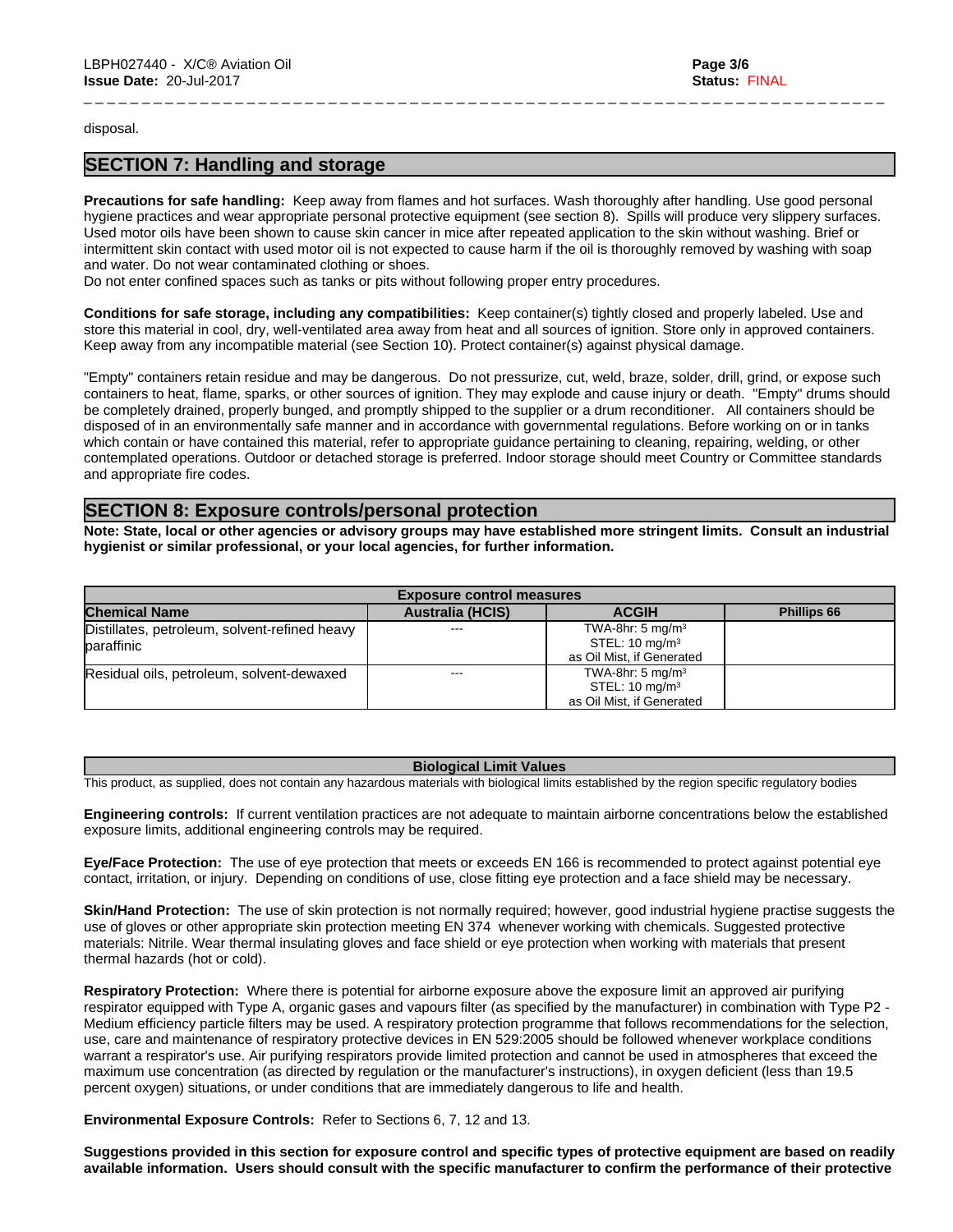#### disposal.

# **SECTION 7: Handling and storage**

**Precautions for safe handling:** Keep away from flames and hot surfaces. Wash thoroughly after handling. Use good personal hygiene practices and wear appropriate personal protective equipment (see section 8). Spills will produce very slippery surfaces. Used motor oils have been shown to cause skin cancer in mice after repeated application to the skin without washing. Brief or intermittent skin contact with used motor oil is not expected to cause harm if the oil is thoroughly removed by washing with soap and water. Do not wear contaminated clothing or shoes.

\_ \_ \_ \_ \_ \_ \_ \_ \_ \_ \_ \_ \_ \_ \_ \_ \_ \_ \_ \_ \_ \_ \_ \_ \_ \_ \_ \_ \_ \_ \_ \_ \_ \_ \_ \_ \_ \_ \_ \_ \_ \_ \_ \_ \_ \_ \_ \_ \_ \_ \_ \_ \_ \_ \_ \_ \_ \_ \_ \_ \_ \_ \_ \_ \_ \_ \_ \_ \_

Do not enter confined spaces such as tanks or pits without following proper entry procedures.

**Conditions for safe storage, including any compatibilities:** Keep container(s) tightly closed and properly labeled. Use and store this material in cool, dry, well-ventilated area away from heat and all sources of ignition. Store only in approved containers. Keep away from any incompatible material (see Section 10). Protect container(s) against physical damage.

"Empty" containers retain residue and may be dangerous. Do not pressurize, cut, weld, braze, solder, drill, grind, or expose such containers to heat, flame, sparks, or other sources of ignition. They may explode and cause injury or death."Empty" drums should be completely drained, properly bunged, and promptly shipped to the supplier or a drum reconditioner. All containers should be disposed of in an environmentally safe manner and in accordance with governmental regulations. Before working on or in tanks which contain or have contained this material, refer to appropriate guidance pertaining to cleaning, repairing, welding, or other contemplated operations. Outdoor or detached storage is preferred. Indoor storage should meet Country or Committee standards and appropriate fire codes.

## **SECTION 8: Exposure controls/personal protection**

Note: State, local or other agencies or advisory groups may have established more stringent limits. Consult an industrial **hygienist or similar professional, or your local agencies, for further information.**

| <b>Exposure control measures</b>              |                         |                              |                    |
|-----------------------------------------------|-------------------------|------------------------------|--------------------|
| <b>Chemical Name</b>                          | <b>Australia (HCIS)</b> | <b>ACGIH</b>                 | <b>Phillips 66</b> |
| Distillates, petroleum, solvent-refined heavy | $- - -$                 | TWA-8hr: 5 mg/m <sup>3</sup> |                    |
| baraffinic                                    |                         | STEL: $10 \text{ mg/m}^3$    |                    |
|                                               |                         | as Oil Mist, if Generated    |                    |
| Residual oils, petroleum, solvent-dewaxed     | $- - -$                 | TWA-8hr: 5 mg/m <sup>3</sup> |                    |
|                                               |                         | STEL: $10 \text{ mg/m}^3$    |                    |
|                                               |                         | as Oil Mist. if Generated    |                    |

#### **Biological Limit Values**

This product, as supplied, does not contain any hazardous materials with biological limits established by the region specific regulatory bodies

**Engineering controls:** Ifcurrent ventilation practices are not adequate to maintain airborne concentrations below the established exposure limits, additional engineering controls may be required.

**Eye/Face Protection:** The use of eye protection that meets or exceeds EN 166 is recommended to protect against potential eye contact, irritation, or injury. Depending on conditions of use, close fitting eye protection and a face shield may be necessary.

**Skin/Hand Protection:** The use of skin protection is not normally required; however, good industrial hygiene practise suggests the use of gloves or other appropriate skin protection meeting EN 374 whenever working with chemicals. Suggested protective materials: Nitrile. Wear thermal insulating gloves and face shield or eye protection when working with materials that present thermal hazards (hot or cold).

**Respiratory Protection:** Where there is potential for airborne exposure above the exposure limit an approved air purifying respirator equipped with Type A, organic gases and vapours filter (as specified by the manufacturer) in combination with Type P2 - Medium efficiency particle filters may be used. A respiratory protection programme that follows recommendations for the selection, use, care and maintenance of respiratory protective devices in EN 529:2005 should be followed whenever workplace conditions warrant a respirator's use. Air purifying respirators provide limited protection and cannot be used in atmospheres that exceed the maximum use concentration (as directed by regulation or the manufacturer's instructions), in oxygen deficient (less than 19.5 percent oxygen) situations, or under conditions that are immediately dangerous to life and health.

**Environmental Exposure Controls: Refer to Sections 6, 7, 12 and 13.** 

Suggestions provided in this section for exposure control and specific types of protective equipment are based on readily available information. Users should consult with the specific manufacturer to confirm the performance of their protective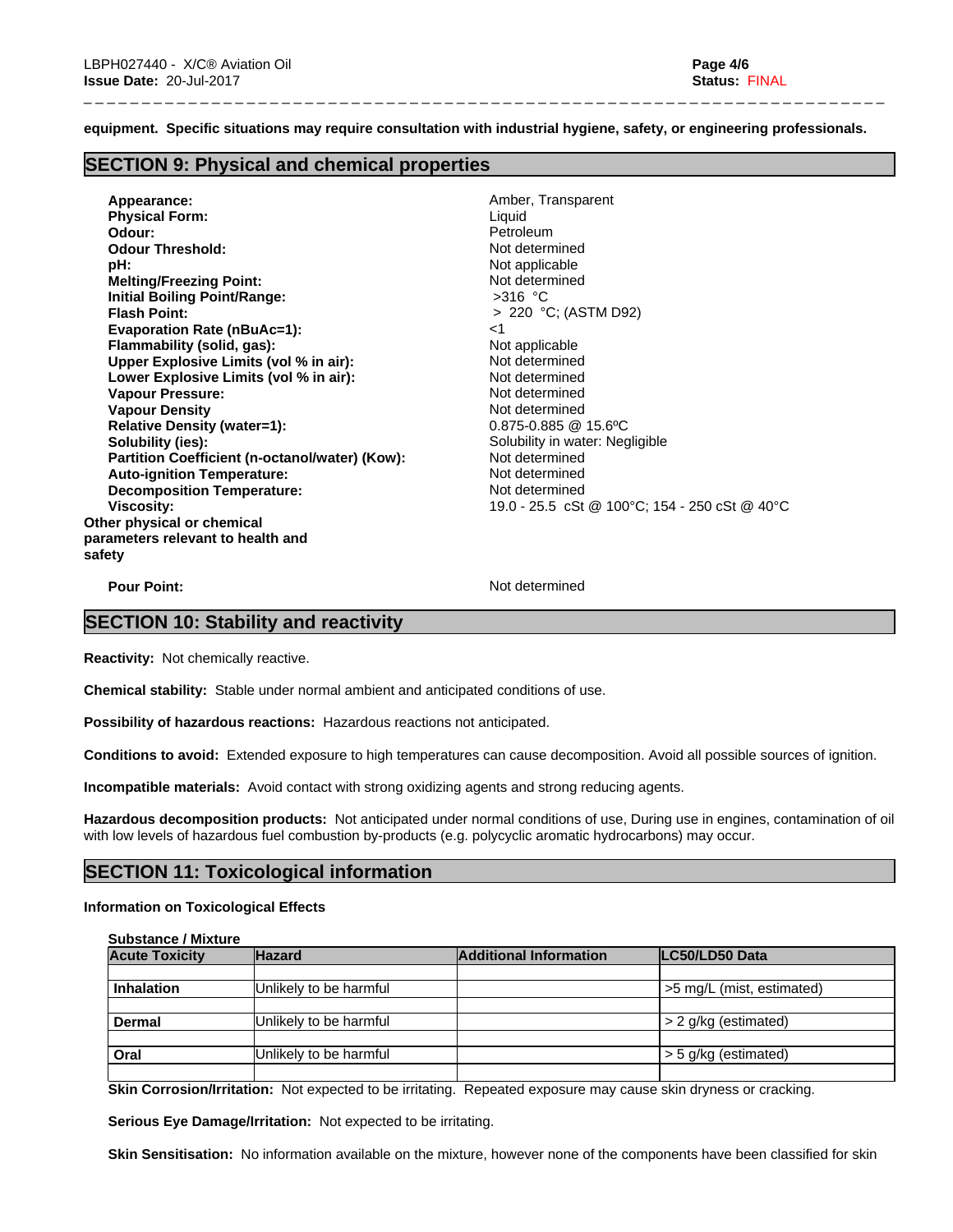**equipment. Specific situations may require consultation with industrial hygiene, safety, or engineering professionals.**

\_ \_ \_ \_ \_ \_ \_ \_ \_ \_ \_ \_ \_ \_ \_ \_ \_ \_ \_ \_ \_ \_ \_ \_ \_ \_ \_ \_ \_ \_ \_ \_ \_ \_ \_ \_ \_ \_ \_ \_ \_ \_ \_ \_ \_ \_ \_ \_ \_ \_ \_ \_ \_ \_ \_ \_ \_ \_ \_ \_ \_ \_ \_ \_ \_ \_ \_ \_ \_

# **SECTION 9: Physical and chemical properties**

**Appearance:** Amber, Transparent **Physical Form:** Liquid **Odour: Petroleum Petroleum Petroleum Petroleum Odour Threshold:** Not determined **pH:** Not applicable **Melting/Freezing Point:** Not determined **Initial Boiling Point/Range:** >316 °C **Flash Point:** > 220 °C; (ASTM D92) **Evaporation Rate (nBuAc=1):** <1 **Flammability (solid, gas):** Not applicable **Upper Explosive Limits (vol % in air):** Not determined **Lower Explosive Limits (vol % in air):** Not determined **Vapour Pressure:** Not determined **Vapour Density Not determined Relative Density (water=1):** 0.875-0.885 @ 15.6ºC **Solubility (ies):** Solubility in water: Negligible **Partition Coefficient (n-octanol/water) (Kow): Not determined<br>
<b>Auto-ignition Temperature:** Not determined **Auto-ignition Temperature:**<br> **Decomposition Temperature:** Not determined **Decomposition Temperature: Viscosity:** 19.0 - 25.5 cSt @ 100°C; 154 - 250 cSt @ 40°C **Other physical or chemical parameters relevant to health and safety**

**Pour Point:** Not determined

# **SECTION 10: Stability and reactivity**

**Reactivity:** Not chemically reactive.

**Chemical stability:** Stable under normal ambient and anticipated conditions of use.

**Possibility of hazardous reactions:** Hazardous reactions not anticipated.

**Conditions to avoid:** Extended exposure to high temperatures can cause decomposition. Avoid all possible sources of ignition.

**Incompatible materials:** Avoid contact with strong oxidizing agents and strong reducing agents.

**Hazardous decomposition products:** Not anticipated under normal conditions of use, During use in engines, contamination of oil with low levels of hazardous fuel combustion by-products (e.g. polycyclic aromatic hydrocarbons) may occur.

# **SECTION 11: Toxicological information**

#### **Information on Toxicological Effects**

**Substance / Mixture**

| <b>Acute Toxicity</b> | <b>Hazard</b>          | <b>Additional Information</b> | LC50/LD50 Data            |
|-----------------------|------------------------|-------------------------------|---------------------------|
|                       |                        |                               |                           |
| <b>Inhalation</b>     | Unlikely to be harmful |                               | >5 mg/L (mist, estimated) |
|                       |                        |                               |                           |
| <b>Dermal</b>         | Unlikely to be harmful |                               | $> 2$ g/kg (estimated)    |
|                       |                        |                               |                           |
| Oral                  | Unlikely to be harmful |                               | $>$ 5 g/kg (estimated)    |
|                       |                        |                               |                           |

**Skin Corrosion/Irritation:** Not expected to be irritating. Repeated exposure may cause skin dryness or cracking.

**Serious Eye Damage/Irritation:** Not expected to be irritating.

**Skin Sensitisation:** No information available on the mixture, however none of the components have been classified for skin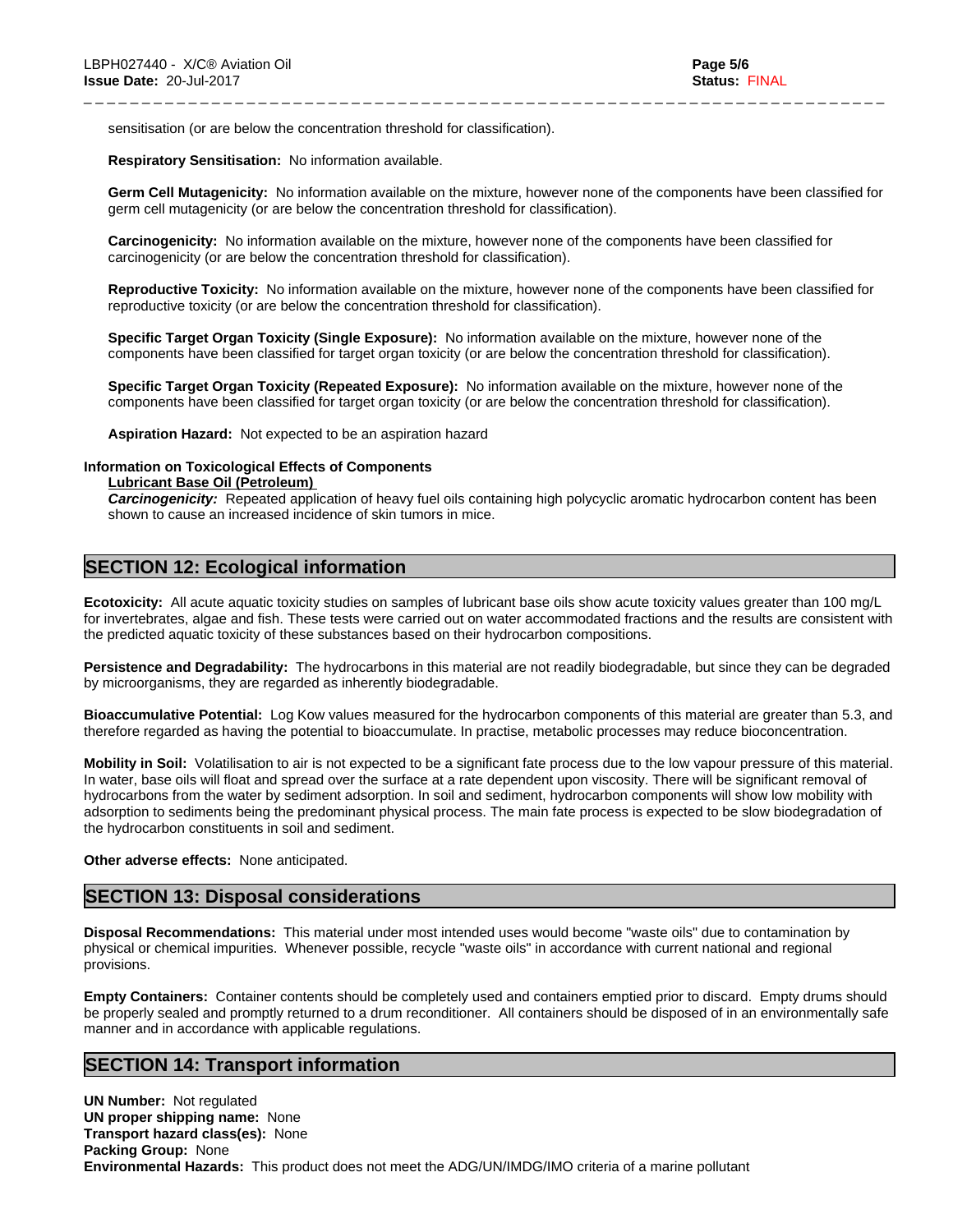sensitisation (or are below the concentration threshold for classification).

**Respiratory Sensitisation:** No information available.

**Germ Cell Mutagenicity:** No information available on the mixture, however none of the components have been classified for germ cell mutagenicity (or are below the concentration threshold for classification).

\_ \_ \_ \_ \_ \_ \_ \_ \_ \_ \_ \_ \_ \_ \_ \_ \_ \_ \_ \_ \_ \_ \_ \_ \_ \_ \_ \_ \_ \_ \_ \_ \_ \_ \_ \_ \_ \_ \_ \_ \_ \_ \_ \_ \_ \_ \_ \_ \_ \_ \_ \_ \_ \_ \_ \_ \_ \_ \_ \_ \_ \_ \_ \_ \_ \_ \_ \_ \_

**Carcinogenicity:** No information available on the mixture, however none of the components have been classified for carcinogenicity (or are below the concentration threshold for classification).

**Reproductive Toxicity:** No information available on the mixture, however none of the components have been classified for reproductive toxicity (or are below the concentration threshold for classification).

**Specific Target Organ Toxicity (Single Exposure):** No information available on the mixture, however none of the components have been classified for target organ toxicity (or are below the concentration threshold for classification).

**Specific Target Organ Toxicity (Repeated Exposure):** No information available on the mixture, however none of the components have been classified for target organ toxicity (or are below the concentration threshold for classification).

**Aspiration Hazard:** Not expected to be an aspiration hazard

#### **Information on Toxicological Effects of Components**

**Lubricant Base Oil (Petroleum)**

*Carcinogenicity:* Repeated application of heavy fuel oils containing high polycyclic aromatic hydrocarbon content has been shown to cause an increased incidence of skin tumors in mice.

# **SECTION 12: Ecological information**

**Ecotoxicity:** All acute aquatic toxicity studies on samples of lubricant base oils show acute toxicity values greater than 100 mg/L for invertebrates, algae and fish. These tests were carried out on water accommodated fractions and the results are consistent with the predicted aquatic toxicity of these substances based on their hydrocarbon compositions.

**Persistence and Degradability:** The hydrocarbons in this material are not readily biodegradable, but since they can be degraded by microorganisms, they are regarded as inherently biodegradable.

**Bioaccumulative Potential:** Log Kow values measured for the hydrocarbon components of this material are greater than 5.3, and therefore regarded as having the potential to bioaccumulate. In practise, metabolic processes may reduce bioconcentration.

**Mobility in Soil:** Volatilisation to air is not expected to be a significant fate process due to the low vapour pressure of this material. In water, base oils will float and spread over the surface at a rate dependent upon viscosity. There will be significant removal of hydrocarbons from the water by sediment adsorption. In soil and sediment, hydrocarbon components will show low mobility with adsorption to sediments being the predominant physical process. The main fate process is expected to be slow biodegradation of the hydrocarbon constituents in soil and sediment.

#### **Other adverse effects:** None anticipated.

## **SECTION 13: Disposal considerations**

**Disposal Recommendations:** This material under most intended uses would become "waste oils" due to contamination by physical or chemical impurities. Whenever possible, recycle "waste oils" in accordance with current national and regional provisions.

**Empty Containers:** Container contents should be completely used and containers emptied prior to discard. Empty drums should be properly sealed and promptly returned to a drum reconditioner. All containers should be disposed of in an environmentally safe manner and in accordance with applicable regulations.

# **SECTION 14: Transport information**

**UN Number:** Not regulated **UN proper shipping name:** None **Transport hazard class(es):** None **Packing Group:** None **Environmental Hazards:** This product does not meet the ADG/UN/IMDG/IMO criteria of a marine pollutant